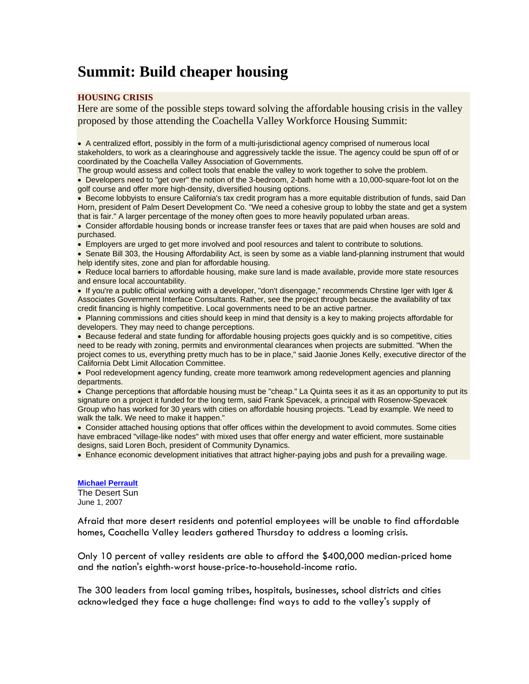# **Summit: Build cheaper housing**

### **HOUSING CRISIS**

Here are some of the possible steps toward solving the affordable housing crisis in the valley proposed by those attending the Coachella Valley Workforce Housing Summit:

• A centralized effort, possibly in the form of a multi-jurisdictional agency comprised of numerous local stakeholders, to work as a clearinghouse and aggressively tackle the issue. The agency could be spun off of or coordinated by the Coachella Valley Association of Governments.

The group would assess and collect tools that enable the valley to work together to solve the problem.

• Developers need to "get over" the notion of the 3-bedroom, 2-bath home with a 10,000-square-foot lot on the golf course and offer more high-density, diversified housing options.

• Become lobbyists to ensure California's tax credit program has a more equitable distribution of funds, said Dan Horn, president of Palm Desert Development Co. "We need a cohesive group to lobby the state and get a system that is fair." A larger percentage of the money often goes to more heavily populated urban areas.

• Consider affordable housing bonds or increase transfer fees or taxes that are paid when houses are sold and purchased.

• Employers are urged to get more involved and pool resources and talent to contribute to solutions.

• Senate Bill 303, the Housing Affordability Act, is seen by some as a viable land-planning instrument that would help identify sites, zone and plan for affordable housing.

• Reduce local barriers to affordable housing, make sure land is made available, provide more state resources and ensure local accountability.

• If you're a public official working with a developer, "don't disengage," recommends Chrstine Iger with Iger & Associates Government Interface Consultants. Rather, see the project through because the availability of tax credit financing is highly competitive. Local governments need to be an active partner.

• Planning commissions and cities should keep in mind that density is a key to making projects affordable for developers. They may need to change perceptions.

• Because federal and state funding for affordable housing projects goes quickly and is so competitive, cities need to be ready with zoning, permits and environmental clearances when projects are submitted. "When the project comes to us, everything pretty much has to be in place," said Jaonie Jones Kelly, executive director of the California Debt Limit Allocation Committee.

• Pool redevelopment agency funding, create more teamwork among redevelopment agencies and planning departments.

• Change perceptions that affordable housing must be "cheap." La Quinta sees it as it as an opportunity to put its signature on a project it funded for the long term, said Frank Spevacek, a principal with Rosenow-Spevacek Group who has worked for 30 years with cities on affordable housing projects. "Lead by example. We need to walk the talk. We need to make it happen."

• Consider attached housing options that offer offices within the development to avoid commutes. Some cities have embraced "village-like nodes" with mixed uses that offer energy and water efficient, more sustainable designs, said Loren Boch, president of Community Dynamics.

• Enhance economic development initiatives that attract higher-paying jobs and push for a prevailing wage.

**Michael Perrault** The Desert Sun June 1, 2007

Afraid that more desert residents and potential employees will be unable to find affordable homes, Coachella Valley leaders gathered Thursday to address a looming crisis.

Only 10 percent of valley residents are able to afford the \$400,000 median-priced home and the nation's eighth-worst house-price-to-household-income ratio.

The 300 leaders from local gaming tribes, hospitals, businesses, school districts and cities acknowledged they face a huge challenge: find ways to add to the valley's supply of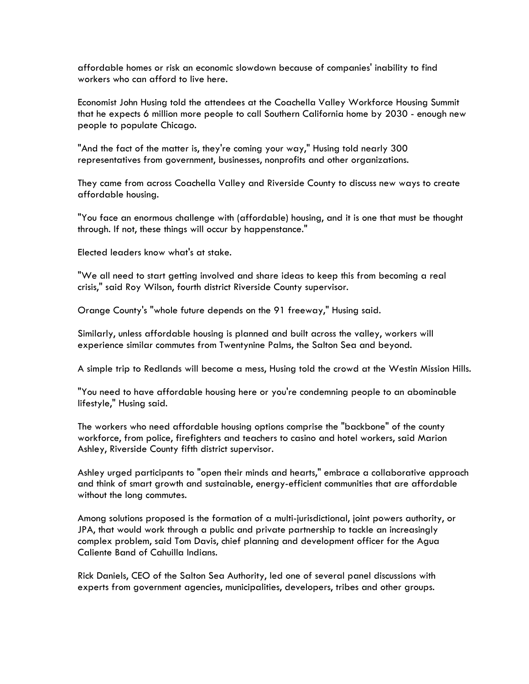affordable homes or risk an economic slowdown because of companies' inability to find workers who can afford to live here.

Economist John Husing told the attendees at the Coachella Valley Workforce Housing Summit that he expects 6 million more people to call Southern California home by 2030 - enough new people to populate Chicago.

"And the fact of the matter is, they're coming your way," Husing told nearly 300 representatives from government, businesses, nonprofits and other organizations.

They came from across Coachella Valley and Riverside County to discuss new ways to create affordable housing.

"You face an enormous challenge with (affordable) housing, and it is one that must be thought through. If not, these things will occur by happenstance."

Elected leaders know what's at stake.

"We all need to start getting involved and share ideas to keep this from becoming a real crisis," said Roy Wilson, fourth district Riverside County supervisor.

Orange County's "whole future depends on the 91 freeway," Husing said.

Similarly, unless affordable housing is planned and built across the valley, workers will experience similar commutes from Twentynine Palms, the Salton Sea and beyond.

A simple trip to Redlands will become a mess, Husing told the crowd at the Westin Mission Hills.

"You need to have affordable housing here or you're condemning people to an abominable lifestyle," Husing said.

The workers who need affordable housing options comprise the "backbone" of the county workforce, from police, firefighters and teachers to casino and hotel workers, said Marion Ashley, Riverside County fifth district supervisor.

Ashley urged participants to "open their minds and hearts," embrace a collaborative approach and think of smart growth and sustainable, energy-efficient communities that are affordable without the long commutes.

Among solutions proposed is the formation of a multi-jurisdictional, joint powers authority, or JPA, that would work through a public and private partnership to tackle an increasingly complex problem, said Tom Davis, chief planning and development officer for the Agua Caliente Band of Cahuilla Indians.

Rick Daniels, CEO of the Salton Sea Authority, led one of several panel discussions with experts from government agencies, municipalities, developers, tribes and other groups.